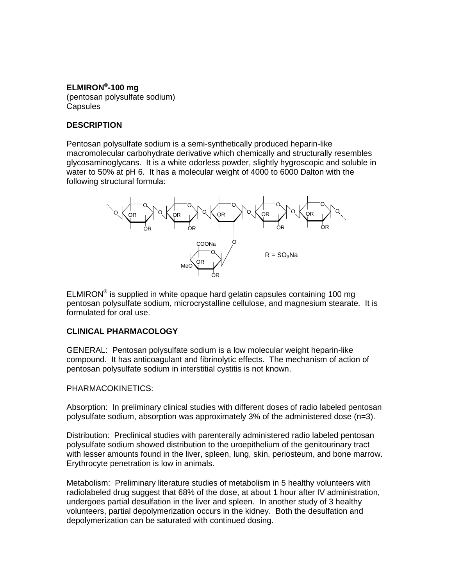## **ELMIRON®-100 mg**

(pentosan polysulfate sodium) **Capsules** 

# **DESCRIPTION**

Pentosan polysulfate sodium is a semi-synthetically produced heparin-like macromolecular carbohydrate derivative which chemically and structurally resembles glycosaminoglycans. It is a white odorless powder, slightly hygroscopic and soluble in water to 50% at pH 6. It has a molecular weight of 4000 to 6000 Dalton with the following structural formula:



ELMIRON® is supplied in white opaque hard gelatin capsules containing 100 mg pentosan polysulfate sodium, microcrystalline cellulose, and magnesium stearate. It is formulated for oral use.

# **CLINICAL PHARMACOLOGY**

GENERAL: Pentosan polysulfate sodium is a low molecular weight heparin-like compound. It has anticoagulant and fibrinolytic effects. The mechanism of action of pentosan polysulfate sodium in interstitial cystitis is not known.

#### PHARMACOKINETICS:

Absorption: In preliminary clinical studies with different doses of radio labeled pentosan polysulfate sodium, absorption was approximately 3% of the administered dose (n=3).

Distribution: Preclinical studies with parenterally administered radio labeled pentosan polysulfate sodium showed distribution to the uroepithelium of the genitourinary tract with lesser amounts found in the liver, spleen, lung, skin, periosteum, and bone marrow. Erythrocyte penetration is low in animals.

Metabolism: Preliminary literature studies of metabolism in 5 healthy volunteers with radiolabeled drug suggest that 68% of the dose, at about 1 hour after IV administration, undergoes partial desulfation in the liver and spleen. In another study of 3 healthy volunteers, partial depolymerization occurs in the kidney. Both the desulfation and depolymerization can be saturated with continued dosing.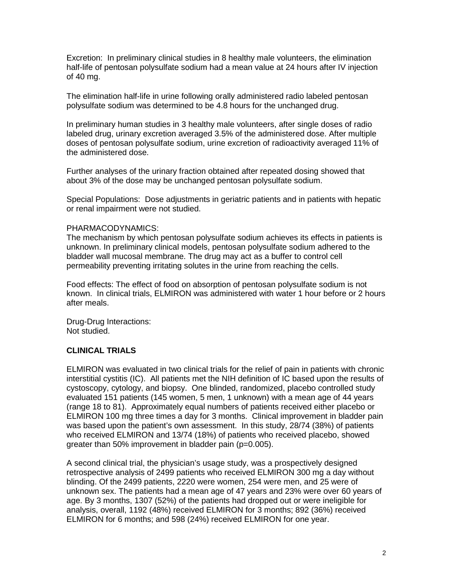Excretion: In preliminary clinical studies in 8 healthy male volunteers, the elimination half-life of pentosan polysulfate sodium had a mean value at 24 hours after IV injection of 40 mg.

The elimination half-life in urine following orally administered radio labeled pentosan polysulfate sodium was determined to be 4.8 hours for the unchanged drug.

In preliminary human studies in 3 healthy male volunteers, after single doses of radio labeled drug, urinary excretion averaged 3.5% of the administered dose. After multiple doses of pentosan polysulfate sodium, urine excretion of radioactivity averaged 11% of the administered dose.

Further analyses of the urinary fraction obtained after repeated dosing showed that about 3% of the dose may be unchanged pentosan polysulfate sodium.

Special Populations: Dose adjustments in geriatric patients and in patients with hepatic or renal impairment were not studied.

#### PHARMACODYNAMICS:

The mechanism by which pentosan polysulfate sodium achieves its effects in patients is unknown. In preliminary clinical models, pentosan polysulfate sodium adhered to the bladder wall mucosal membrane. The drug may act as a buffer to control cell permeability preventing irritating solutes in the urine from reaching the cells.

Food effects: The effect of food on absorption of pentosan polysulfate sodium is not known. In clinical trials, ELMIRON was administered with water 1 hour before or 2 hours after meals.

Drug-Drug Interactions: Not studied.

# **CLINICAL TRIALS**

ELMIRON was evaluated in two clinical trials for the relief of pain in patients with chronic interstitial cystitis (IC). All patients met the NIH definition of IC based upon the results of cystoscopy, cytology, and biopsy. One blinded, randomized, placebo controlled study evaluated 151 patients (145 women, 5 men, 1 unknown) with a mean age of 44 years (range 18 to 81). Approximately equal numbers of patients received either placebo or ELMIRON 100 mg three times a day for 3 months. Clinical improvement in bladder pain was based upon the patient's own assessment. In this study, 28/74 (38%) of patients who received ELMIRON and 13/74 (18%) of patients who received placebo, showed greater than 50% improvement in bladder pain (p=0.005).

A second clinical trial, the physician's usage study, was a prospectively designed retrospective analysis of 2499 patients who received ELMIRON 300 mg a day without blinding. Of the 2499 patients, 2220 were women, 254 were men, and 25 were of unknown sex. The patients had a mean age of 47 years and 23% were over 60 years of age. By 3 months, 1307 (52%) of the patients had dropped out or were ineligible for analysis, overall, 1192 (48%) received ELMIRON for 3 months; 892 (36%) received ELMIRON for 6 months; and 598 (24%) received ELMIRON for one year.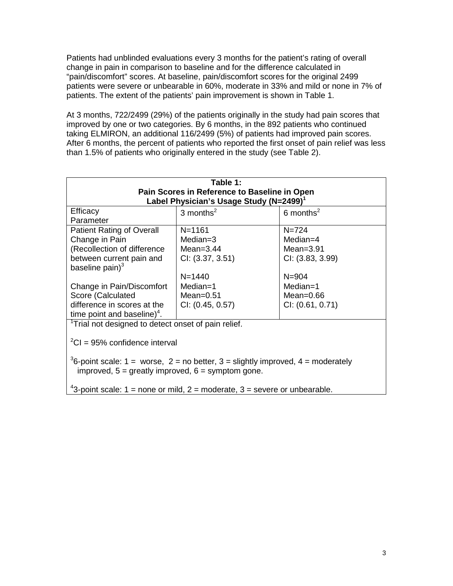Patients had unblinded evaluations every 3 months for the patient's rating of overall change in pain in comparison to baseline and for the difference calculated in "pain/discomfort" scores. At baseline, pain/discomfort scores for the original 2499 patients were severe or unbearable in 60%, moderate in 33% and mild or none in 7% of patients. The extent of the patients' pain improvement is shown in Table 1.

At 3 months, 722/2499 (29%) of the patients originally in the study had pain scores that improved by one or two categories. By 6 months, in the 892 patients who continued taking ELMIRON, an additional 116/2499 (5%) of patients had improved pain scores. After 6 months, the percent of patients who reported the first onset of pain relief was less than 1.5% of patients who originally entered in the study (see Table 2).

| Table 1:<br>Pain Scores in Reference to Baseline in Open<br>Label Physician's Usage Study (N=2499) <sup>1</sup>                      |                                                              |                                                             |  |  |
|--------------------------------------------------------------------------------------------------------------------------------------|--------------------------------------------------------------|-------------------------------------------------------------|--|--|
| Efficacy<br>Parameter                                                                                                                | 3 months $^2$                                                | 6 months <sup>2</sup>                                       |  |  |
| <b>Patient Rating of Overall</b><br>Change in Pain<br>(Recollection of difference<br>between current pain and<br>baseline pain $)^3$ | $N = 1161$<br>$Median=3$<br>Mean= $3.44$<br>Cl: (3.37, 3.51) | $N = 724$<br>$Median=4$<br>Mean= $3.91$<br>CI: (3.83, 3.99) |  |  |
| Change in Pain/Discomfort<br>Score (Calculated<br>difference in scores at the<br>time point and baseline) <sup>4</sup> .             | $N = 1440$<br>Median=1<br>Mean= $0.51$<br>Cl: (0.45, 0.57)   | $N = 904$<br>Median=1<br>Mean= $0.66$<br>Cl: (0.61, 0.71)   |  |  |
| <sup>1</sup> Trial not designed to detect onset of pain relief.<br>$^{2}$ CI = 95% confidence interval                               |                                                              |                                                             |  |  |

<sup>3</sup>6-point scale: 1 = worse, 2 = no better, 3 = slightly improved, 4 = moderately improved,  $5 =$  greatly improved,  $6 =$  symptom gone.

<sup>4</sup>3-point scale: 1 = none or mild, 2 = moderate, 3 = severe or unbearable.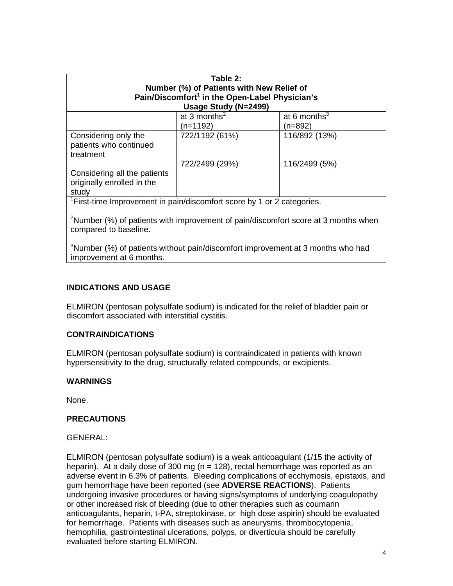| Table 2:<br>Number (%) of Patients with New Relief of<br>Pain/Discomfort <sup>1</sup> in the Open-Label Physician's<br>Usage Study (N=2499) |                 |                          |  |  |
|---------------------------------------------------------------------------------------------------------------------------------------------|-----------------|--------------------------|--|--|
|                                                                                                                                             | at 3 months $2$ | at 6 months <sup>3</sup> |  |  |
|                                                                                                                                             | (n=1192)        | (n=892)                  |  |  |
| Considering only the<br>patients who continued<br>treatment                                                                                 | 722/1192 (61%)  | 116/892 (13%)            |  |  |
|                                                                                                                                             | 722/2499 (29%)  | 116/2499 (5%)            |  |  |
| Considering all the patients<br>originally enrolled in the<br>study                                                                         |                 |                          |  |  |

<sup>1</sup>First-time Improvement in pain/discomfort score by 1 or 2 categories.

<sup>2</sup>Number (%) of patients with improvement of pain/discomfort score at 3 months when compared to baseline.

 $3$ Number (%) of patients without pain/discomfort improvement at 3 months who had improvement at 6 months.

#### **INDICATIONS AND USAGE**

ELMIRON (pentosan polysulfate sodium) is indicated for the relief of bladder pain or discomfort associated with interstitial cystitis.

#### **CONTRAINDICATIONS**

ELMIRON (pentosan polysulfate sodium) is contraindicated in patients with known hypersensitivity to the drug, structurally related compounds, or excipients.

#### **WARNINGS**

None.

#### **PRECAUTIONS**

GENERAL:

ELMIRON (pentosan polysulfate sodium) is a weak anticoagulant (1/15 the activity of heparin). At a daily dose of 300 mg (n = 128), rectal hemorrhage was reported as an adverse event in 6.3% of patients. Bleeding complications of ecchymosis, epistaxis, and gum hemorrhage have been reported (see **ADVERSE REACTIONS**). Patients undergoing invasive procedures or having signs/symptoms of underlying coagulopathy or other increased risk of bleeding (due to other therapies such as coumarin anticoagulants, heparin, t-PA, streptokinase, or high dose aspirin) should be evaluated for hemorrhage. Patients with diseases such as aneurysms, thrombocytopenia, hemophilia, gastrointestinal ulcerations, polyps, or diverticula should be carefully evaluated before starting ELMIRON.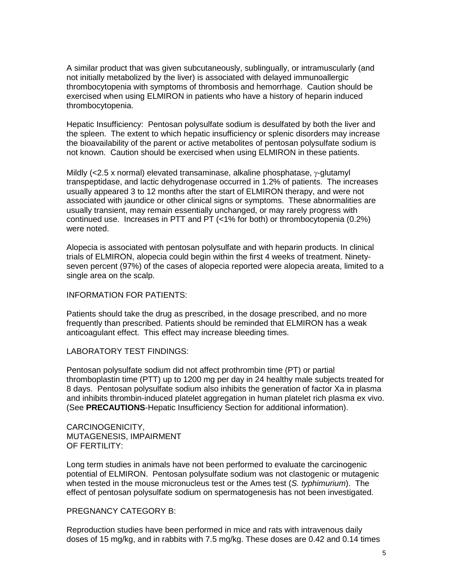A similar product that was given subcutaneously, sublingually, or intramuscularly (and not initially metabolized by the liver) is associated with delayed immunoallergic thrombocytopenia with symptoms of thrombosis and hemorrhage. Caution should be exercised when using ELMIRON in patients who have a history of heparin induced thrombocytopenia.

Hepatic Insufficiency: Pentosan polysulfate sodium is desulfated by both the liver and the spleen. The extent to which hepatic insufficiency or splenic disorders may increase the bioavailability of the parent or active metabolites of pentosan polysulfate sodium is not known. Caution should be exercised when using ELMIRON in these patients.

Mildly (<2.5 x normal) elevated transaminase, alkaline phosphatase, γ-glutamyl transpeptidase, and lactic dehydrogenase occurred in 1.2% of patients. The increases usually appeared 3 to 12 months after the start of ELMIRON therapy, and were not associated with jaundice or other clinical signs or symptoms. These abnormalities are usually transient, may remain essentially unchanged, or may rarely progress with continued use. Increases in PTT and PT (<1% for both) or thrombocytopenia (0.2%) were noted.

Alopecia is associated with pentosan polysulfate and with heparin products. In clinical trials of ELMIRON, alopecia could begin within the first 4 weeks of treatment. Ninetyseven percent (97%) of the cases of alopecia reported were alopecia areata, limited to a single area on the scalp.

INFORMATION FOR PATIENTS:

Patients should take the drug as prescribed, in the dosage prescribed, and no more frequently than prescribed. Patients should be reminded that ELMIRON has a weak anticoagulant effect. This effect may increase bleeding times.

#### LABORATORY TEST FINDINGS:

Pentosan polysulfate sodium did not affect prothrombin time (PT) or partial thromboplastin time (PTT) up to 1200 mg per day in 24 healthy male subjects treated for 8 days. Pentosan polysulfate sodium also inhibits the generation of factor Xa in plasma and inhibits thrombin-induced platelet aggregation in human platelet rich plasma ex vivo. (See **PRECAUTIONS**-Hepatic Insufficiency Section for additional information).

CARCINOGENICITY, MUTAGENESIS, IMPAIRMENT OF FERTILITY:

Long term studies in animals have not been performed to evaluate the carcinogenic potential of ELMIRON. Pentosan polysulfate sodium was not clastogenic or mutagenic when tested in the mouse micronucleus test or the Ames test (*S. typhimurium*). The effect of pentosan polysulfate sodium on spermatogenesis has not been investigated.

#### PREGNANCY CATEGORY B:

Reproduction studies have been performed in mice and rats with intravenous daily doses of 15 mg/kg, and in rabbits with 7.5 mg/kg. These doses are 0.42 and 0.14 times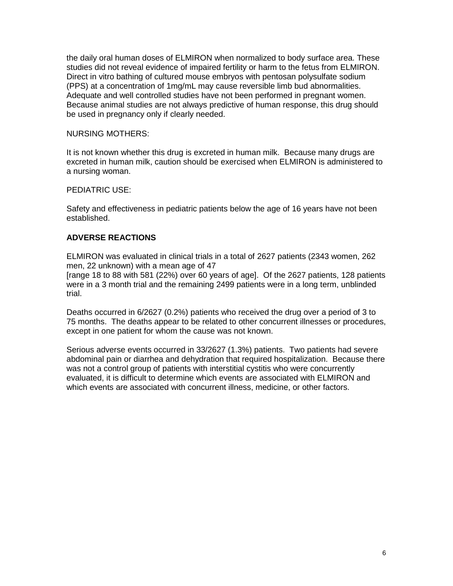the daily oral human doses of ELMIRON when normalized to body surface area. These studies did not reveal evidence of impaired fertility or harm to the fetus from ELMIRON. Direct in vitro bathing of cultured mouse embryos with pentosan polysulfate sodium (PPS) at a concentration of 1mg/mL may cause reversible limb bud abnormalities. Adequate and well controlled studies have not been performed in pregnant women. Because animal studies are not always predictive of human response, this drug should be used in pregnancy only if clearly needed.

# NURSING MOTHERS:

It is not known whether this drug is excreted in human milk. Because many drugs are excreted in human milk, caution should be exercised when ELMIRON is administered to a nursing woman.

# PEDIATRIC USE:

Safety and effectiveness in pediatric patients below the age of 16 years have not been established.

# **ADVERSE REACTIONS**

ELMIRON was evaluated in clinical trials in a total of 2627 patients (2343 women, 262 men, 22 unknown) with a mean age of 47

[range 18 to 88 with 581 (22%) over 60 years of age]. Of the 2627 patients, 128 patients were in a 3 month trial and the remaining 2499 patients were in a long term, unblinded trial.

Deaths occurred in 6/2627 (0.2%) patients who received the drug over a period of 3 to 75 months. The deaths appear to be related to other concurrent illnesses or procedures, except in one patient for whom the cause was not known.

Serious adverse events occurred in 33/2627 (1.3%) patients. Two patients had severe abdominal pain or diarrhea and dehydration that required hospitalization. Because there was not a control group of patients with interstitial cystitis who were concurrently evaluated, it is difficult to determine which events are associated with ELMIRON and which events are associated with concurrent illness, medicine, or other factors.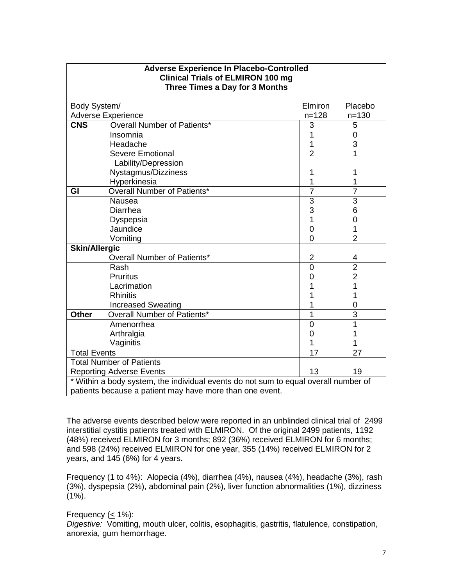| <b>Adverse Experience In Placebo-Controlled</b><br><b>Clinical Trials of ELMIRON 100 mg</b><br>Three Times a Day for 3 Months |                                 |                |                |  |
|-------------------------------------------------------------------------------------------------------------------------------|---------------------------------|----------------|----------------|--|
| Body System/                                                                                                                  |                                 | Elmiron        | Placebo        |  |
| <b>Adverse Experience</b>                                                                                                     |                                 | $n = 128$      | $n = 130$      |  |
| <b>CNS</b>                                                                                                                    | Overall Number of Patients*     | 3              | 5              |  |
|                                                                                                                               | Insomnia                        | 1              | $\mathbf 0$    |  |
|                                                                                                                               | Headache                        | 1              | 3              |  |
|                                                                                                                               | <b>Severe Emotional</b>         | $\overline{2}$ | 1              |  |
|                                                                                                                               | Lability/Depression             |                |                |  |
|                                                                                                                               | Nystagmus/Dizziness             | 1              | 1              |  |
|                                                                                                                               | Hyperkinesia                    | 1              | 1              |  |
| GI                                                                                                                            | Overall Number of Patients*     | $\overline{7}$ | $\overline{7}$ |  |
|                                                                                                                               | Nausea                          | 3              | 3              |  |
|                                                                                                                               | Diarrhea                        | 3              | 6              |  |
|                                                                                                                               | Dyspepsia                       | 1              | $\mathbf 0$    |  |
|                                                                                                                               | Jaundice                        | 0              | $\overline{1}$ |  |
|                                                                                                                               | Vomiting                        | $\overline{0}$ | $\overline{2}$ |  |
| <b>Skin/Allergic</b>                                                                                                          |                                 |                |                |  |
|                                                                                                                               | Overall Number of Patients*     | $\overline{2}$ | 4              |  |
|                                                                                                                               | Rash                            | $\overline{0}$ | $\overline{2}$ |  |
|                                                                                                                               | <b>Pruritus</b>                 | 0              | $\overline{2}$ |  |
|                                                                                                                               | Lacrimation                     | 1              | 1              |  |
|                                                                                                                               | <b>Rhinitis</b>                 | 1              | 1              |  |
|                                                                                                                               | <b>Increased Sweating</b>       | 1              | $\overline{0}$ |  |
| <b>Other</b>                                                                                                                  | Overall Number of Patients*     | 1              | 3              |  |
|                                                                                                                               | Amenorrhea                      | $\overline{0}$ | 1              |  |
|                                                                                                                               | Arthralgia                      | $\overline{0}$ | 1              |  |
|                                                                                                                               | Vaginitis                       | 1              | 1              |  |
| <b>Total Events</b>                                                                                                           |                                 | 17             | 27             |  |
|                                                                                                                               | <b>Total Number of Patients</b> |                |                |  |
| 13<br><b>Reporting Adverse Events</b>                                                                                         |                                 |                | 19             |  |
| * Within a body system, the individual events do not sum to equal overall number of                                           |                                 |                |                |  |
| patients because a patient may have more than one event.                                                                      |                                 |                |                |  |

#### The adverse events described below were reported in an unblinded clinical trial of 2499 interstitial cystitis patients treated with ELMIRON. Of the original 2499 patients, 1192 (48%) received ELMIRON for 3 months; 892 (36%) received ELMIRON for 6 months; and 598 (24%) received ELMIRON for one year, 355 (14%) received ELMIRON for 2 years, and 145 (6%) for 4 years.

Frequency (1 to 4%): Alopecia (4%), diarrhea (4%), nausea (4%), headache (3%), rash (3%), dyspepsia (2%), abdominal pain (2%), liver function abnormalities (1%), dizziness  $(1\%)$ .

Frequency (< 1%):

*Digestive:* Vomiting, mouth ulcer, colitis, esophagitis, gastritis, flatulence, constipation, anorexia, gum hemorrhage.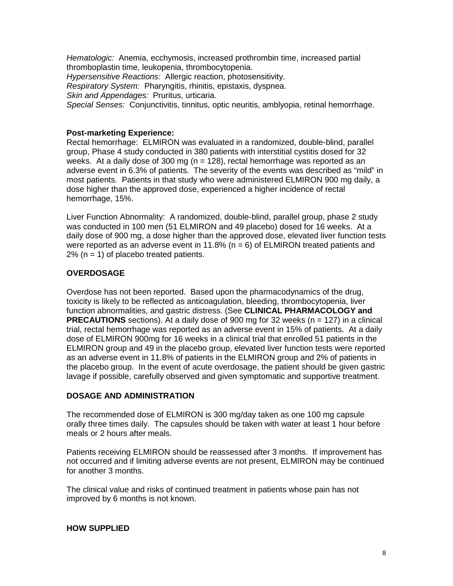*Hematologic:* Anemia, ecchymosis, increased prothrombin time, increased partial thromboplastin time, leukopenia, thrombocytopenia. *Hypersensitive Reactions:* Allergic reaction, photosensitivity. *Respiratory System:* Pharyngitis, rhinitis, epistaxis, dyspnea. *Skin and Appendages:* Pruritus, urticaria. *Special Senses:* Conjunctivitis, tinnitus, optic neuritis, amblyopia, retinal hemorrhage.

# **Post-marketing Experience:**

Rectal hemorrhage: ELMIRON was evaluated in a randomized, double-blind, parallel group, Phase 4 study conducted in 380 patients with interstitial cystitis dosed for 32 weeks. At a daily dose of 300 mg ( $n = 128$ ), rectal hemorrhage was reported as an adverse event in 6.3% of patients. The severity of the events was described as "mild" in most patients. Patients in that study who were administered ELMIRON 900 mg daily, a dose higher than the approved dose, experienced a higher incidence of rectal hemorrhage, 15%.

Liver Function Abnormality: A randomized, double-blind, parallel group, phase 2 study was conducted in 100 men (51 ELMIRON and 49 placebo) dosed for 16 weeks. At a daily dose of 900 mg, a dose higher than the approved dose, elevated liver function tests were reported as an adverse event in 11.8% ( $n = 6$ ) of ELMIRON treated patients and  $2\%$  (n = 1) of placebo treated patients.

# **OVERDOSAGE**

Overdose has not been reported. Based upon the pharmacodynamics of the drug, toxicity is likely to be reflected as anticoagulation, bleeding, thrombocytopenia, liver function abnormalities, and gastric distress. (See **CLINICAL PHARMACOLOGY and PRECAUTIONS** sections). At a daily dose of 900 mg for 32 weeks (n = 127) in a clinical trial, rectal hemorrhage was reported as an adverse event in 15% of patients. At a daily dose of ELMIRON 900mg for 16 weeks in a clinical trial that enrolled 51 patients in the ELMIRON group and 49 in the placebo group, elevated liver function tests were reported as an adverse event in 11.8% of patients in the ELMIRON group and 2% of patients in the placebo group. In the event of acute overdosage, the patient should be given gastric lavage if possible, carefully observed and given symptomatic and supportive treatment.

#### **DOSAGE AND ADMINISTRATION**

The recommended dose of ELMIRON is 300 mg/day taken as one 100 mg capsule orally three times daily. The capsules should be taken with water at least 1 hour before meals or 2 hours after meals.

Patients receiving ELMIRON should be reassessed after 3 months. If improvement has not occurred and if limiting adverse events are not present, ELMIRON may be continued for another 3 months.

The clinical value and risks of continued treatment in patients whose pain has not improved by 6 months is not known.

#### **HOW SUPPLIED**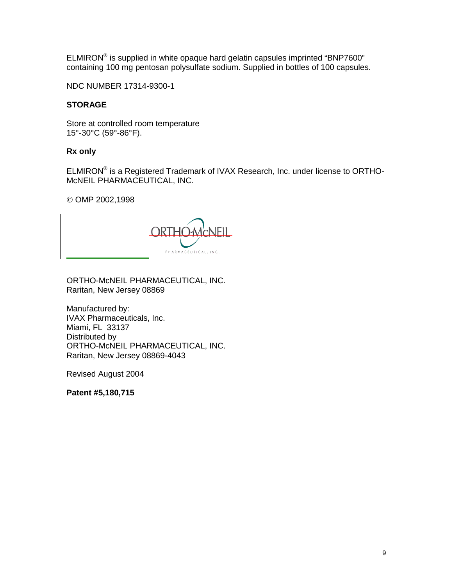ELMIRON® is supplied in white opaque hard gelatin capsules imprinted "BNP7600" containing 100 mg pentosan polysulfate sodium. Supplied in bottles of 100 capsules.

NDC NUMBER 17314-9300-1

# **STORAGE**

Store at controlled room temperature 15°-30°C (59°-86°F).

#### **Rx only**

ELMIRON® is a Registered Trademark of IVAX Research, Inc. under license to ORTHO-McNEIL PHARMACEUTICAL, INC.

© OMP 2002,1998



ORTHO-McNEIL PHARMACEUTICAL, INC. Raritan, New Jersey 08869

Manufactured by: IVAX Pharmaceuticals, Inc. Miami, FL 33137 Distributed by ORTHO-McNEIL PHARMACEUTICAL, INC. Raritan, New Jersey 08869-4043

Revised August 2004

**Patent #5,180,715**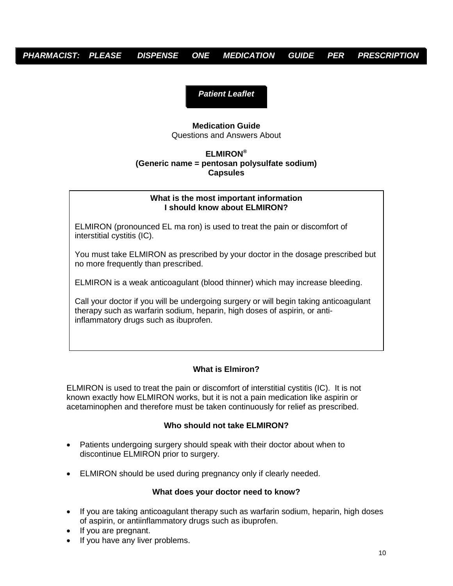# *PHARMACIST: PLEASE DISPENSE ONE MEDICATION GUIDE PER PRESCRIPTION*

*Patient Leaflet* 

#### **Medication Guide**  Questions and Answers About

# **ELMIRON® (Generic name = pentosan polysulfate sodium) Capsules**

#### **What is the most important information I should know about ELMIRON?**

ELMIRON (pronounced EL ma ron) is used to treat the pain or discomfort of interstitial cystitis (IC).

You must take ELMIRON as prescribed by your doctor in the dosage prescribed but no more frequently than prescribed.

ELMIRON is a weak anticoagulant (blood thinner) which may increase bleeding.

Call your doctor if you will be undergoing surgery or will begin taking anticoagulant therapy such as warfarin sodium, heparin, high doses of aspirin, or antiinflammatory drugs such as ibuprofen.

# **What is Elmiron?**

ELMIRON is used to treat the pain or discomfort of interstitial cystitis (IC). It is not known exactly how ELMIRON works, but it is not a pain medication like aspirin or acetaminophen and therefore must be taken continuously for relief as prescribed.

# **Who should not take ELMIRON?**

- Patients undergoing surgery should speak with their doctor about when to discontinue ELMIRON prior to surgery.
- ELMIRON should be used during pregnancy only if clearly needed.

# **What does your doctor need to know?**

- If you are taking anticoagulant therapy such as warfarin sodium, heparin, high doses of aspirin, or antiinflammatory drugs such as ibuprofen.
- If you are pregnant.
- If you have any liver problems.